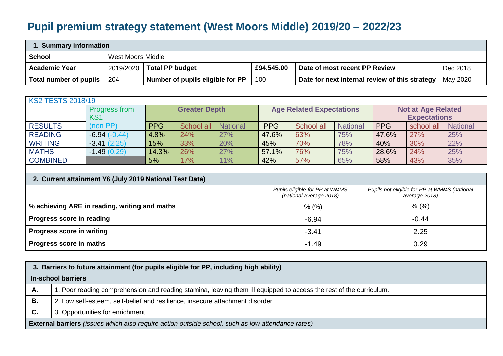## **Pupil premium strategy statement (West Moors Middle) 2019/20 – 2022/23**

| Summary information    |     |                                  |            |                                                           |          |  |  |  |  |  |
|------------------------|-----|----------------------------------|------------|-----------------------------------------------------------|----------|--|--|--|--|--|
| <b>School</b>          |     | West Moors Middle                |            |                                                           |          |  |  |  |  |  |
| <b>Academic Year</b>   |     | 2019/2020   Total PP budget      | £94,545.00 | Date of most recent PP Review                             | Dec 2018 |  |  |  |  |  |
| Total number of pupils | 204 | Number of pupils eligible for PP | 100        | Date for next internal review of this strategy   May 2020 |          |  |  |  |  |  |

| <b>KS2 TESTS 2018/19</b> |                      |                      |            |                 |                                 |            |                 |                           |            |                 |  |
|--------------------------|----------------------|----------------------|------------|-----------------|---------------------------------|------------|-----------------|---------------------------|------------|-----------------|--|
|                          | <b>Progress from</b> | <b>Greater Depth</b> |            |                 | <b>Age Related Expectations</b> |            |                 | <b>Not at Age Related</b> |            |                 |  |
|                          | KS <sub>1</sub>      |                      |            |                 |                                 |            |                 | <b>Expectations</b>       |            |                 |  |
| <b>RESULTS</b>           | (non PP)             | <b>PPG</b>           | School all | <b>National</b> | <b>PPG</b>                      | School all | <b>National</b> | <b>PPG</b>                | school all | <b>National</b> |  |
| <b>READING</b>           | $-6.94(-0.44)$       | 4.8%                 | 24%        | 27%             | 47.6%                           | 63%        | 75%             | 47.6%                     | 27%        | 25%             |  |
| <b>WRITING</b>           | $-3.41(2.25)$        | 15%                  | 33%        | 20%             | 45%                             | 70%        | 78%             | 40%                       | 30%        | 22%             |  |
| <b>MATHS</b>             | $-1.49(0.29)$        | 14.3%                | 26%        | 27%             | 57.1%                           | 76%        | 75%             | 28.6%                     | 24%        | 25%             |  |
| <b>COMBINED</b>          |                      | 5%                   | 17%        | 11%             | 42%                             | 57%        | 65%             | 58%                       | 43%        | 35%             |  |

| 2. Current attainment Y6 (July 2019 National Test Data) |                                                           |                                                               |  |  |  |  |  |  |  |
|---------------------------------------------------------|-----------------------------------------------------------|---------------------------------------------------------------|--|--|--|--|--|--|--|
|                                                         | Pupils eligible for PP at WMMS<br>(national average 2018) | Pupils not eligible for PP at WMMS (national<br>average 2018) |  |  |  |  |  |  |  |
| % achieving ARE in reading, writing and maths           | $%$ (%)                                                   | $%$ (%)                                                       |  |  |  |  |  |  |  |
| Progress score in reading                               | $-6.94$                                                   | $-0.44$                                                       |  |  |  |  |  |  |  |
| <b>Progress score in writing</b>                        | $-3.41$                                                   | 2.25                                                          |  |  |  |  |  |  |  |
| Progress score in maths                                 | $-1.49$                                                   | 0.29                                                          |  |  |  |  |  |  |  |

|           | 3. Barriers to future attainment (for pupils eligible for PP, including high ability)                              |  |  |  |  |  |  |  |
|-----------|--------------------------------------------------------------------------------------------------------------------|--|--|--|--|--|--|--|
|           | In-school barriers                                                                                                 |  |  |  |  |  |  |  |
| А.        | 1. Poor reading comprehension and reading stamina, leaving them ill equipped to access the rest of the curriculum. |  |  |  |  |  |  |  |
| В.        | 2. Low self-esteem, self-belief and resilience, insecure attachment disorder                                       |  |  |  |  |  |  |  |
| <b>C.</b> | 3. Opportunities for enrichment                                                                                    |  |  |  |  |  |  |  |
|           | <b>External barriers</b> (issues which also require action outside school, such as low attendance rates)           |  |  |  |  |  |  |  |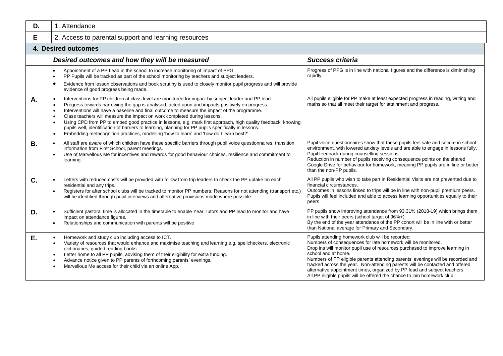| D. | 1. Attendance                                                                                                                                                                                                                                                                                                                                                                                                                                                                                                                                                                                                                                                                                                                                            |                                                                                                                                                                                                                                                                                                                                                                                                                                                                                                                                                      |  |  |  |  |  |  |  |  |
|----|----------------------------------------------------------------------------------------------------------------------------------------------------------------------------------------------------------------------------------------------------------------------------------------------------------------------------------------------------------------------------------------------------------------------------------------------------------------------------------------------------------------------------------------------------------------------------------------------------------------------------------------------------------------------------------------------------------------------------------------------------------|------------------------------------------------------------------------------------------------------------------------------------------------------------------------------------------------------------------------------------------------------------------------------------------------------------------------------------------------------------------------------------------------------------------------------------------------------------------------------------------------------------------------------------------------------|--|--|--|--|--|--|--|--|
| E. | 2. Access to parental support and learning resources                                                                                                                                                                                                                                                                                                                                                                                                                                                                                                                                                                                                                                                                                                     |                                                                                                                                                                                                                                                                                                                                                                                                                                                                                                                                                      |  |  |  |  |  |  |  |  |
|    | 4. Desired outcomes                                                                                                                                                                                                                                                                                                                                                                                                                                                                                                                                                                                                                                                                                                                                      |                                                                                                                                                                                                                                                                                                                                                                                                                                                                                                                                                      |  |  |  |  |  |  |  |  |
|    | Desired outcomes and how they will be measured                                                                                                                                                                                                                                                                                                                                                                                                                                                                                                                                                                                                                                                                                                           | <b>Success criteria</b>                                                                                                                                                                                                                                                                                                                                                                                                                                                                                                                              |  |  |  |  |  |  |  |  |
|    | Appointment of a PP Lead in the school to increase monitoring of impact of PPG<br>$\bullet$<br>PP Pupils will be tracked as part of the school monitoring by teachers and subject leaders.<br>$\bullet$<br>Evidence from lesson observations and book scrutiny is used to closely monitor pupil progress and will provide<br>evidence of good progress being made.                                                                                                                                                                                                                                                                                                                                                                                       | Progress of PPG is in line with national figures and the difference is diminishing<br>rapidly.                                                                                                                                                                                                                                                                                                                                                                                                                                                       |  |  |  |  |  |  |  |  |
| Α. | Interventions for PP children at class level are monitored for impact by subject leader and PP lead<br>$\bullet$<br>Progress towards narrowing the gap is analysed, acted upon and impacts positively on progress.<br>$\bullet$<br>Interventions will have a baseline and final outcome to measure the impact of the programme.<br>$\bullet$<br>Class teachers will measure the impact on work completed during lessons.<br>Using CPD from PP to embed good practice in lessons, e.g. mark first approach, high quality feedback, knowing<br>pupils well, identification of barriers to learning, planning for PP pupils specifically in lessons.<br>Embedding metacognition practices, modelling 'how to learn' and 'how do I learn best?'<br>$\bullet$ | All pupils eligible for PP make at least expected progress in reading, writing and<br>maths so that all meet their target for attainment and progress.                                                                                                                                                                                                                                                                                                                                                                                               |  |  |  |  |  |  |  |  |
| В. | All staff are aware of which children have these specific barriers through pupil voice questionnaires, transition<br>$\bullet$<br>information from First School, parent meetings.<br>Use of Marvellous Me for incentives and rewards for good behaviour choices, resilience and commitment to<br>$\bullet$<br>learning.                                                                                                                                                                                                                                                                                                                                                                                                                                  | Pupil voice questionnaires show that these pupils feel safe and secure in school<br>environment, with lowered anxiety levels and are able to engage in lessons fully.<br>Pupil feedback during counselling sessions.<br>Reduction in number of pupils receiving consequence points on the shared<br>Google Drive for behaviour for homework, meaning PP pupils are in line or better<br>than the non-PP pupils.                                                                                                                                      |  |  |  |  |  |  |  |  |
| C. | Letters with reduced costs will be provided with follow from trip leaders to check the PP uptake on each<br>residential and any trips.<br>Registers for after school clubs will be tracked to monitor PP numbers. Reasons for not attending (transport etc.)<br>$\bullet$<br>will be identified through pupil interviews and alternative provisions made where possible.                                                                                                                                                                                                                                                                                                                                                                                 | All PP pupils who wish to take part in Residential Visits are not prevented due to<br>financial circumstances.<br>Outcomes in lessons linked to trips will be in line with non-pupil premium peers.<br>Pupils will feel included and able to access learning opportunities equally to their<br>peers                                                                                                                                                                                                                                                 |  |  |  |  |  |  |  |  |
| D. | Sufficient pastoral time is allocated in the timetable to enable Year Tutors and PP lead to monitor and have<br>impact on attendance figures.<br>Relationships and communication with parents will be positive<br>$\bullet$                                                                                                                                                                                                                                                                                                                                                                                                                                                                                                                              | PP pupils show improving attendance from 93.31% (2018-19) which brings them<br>in line with their peers (school target of 96%+).<br>By the end of the year attendance of the PP cohort will be in line with or better<br>than National average for Primary and Secondary.                                                                                                                                                                                                                                                                            |  |  |  |  |  |  |  |  |
| Ε. | Homework and study club including access to ICT.<br>Variety of resources that would enhance and maximise teaching and learning e.g. spellcheckers, electronic<br>dictionaries, guided reading books.<br>Letter home to all PP pupils, advising them of their eligibility for extra funding.<br>Advance notice given to PP parents of forthcoming parents' evenings.<br>Marvellous Me access for their child via an online App.                                                                                                                                                                                                                                                                                                                           | Pupils attending homework club will be recorded.<br>Numbers of consequences for late homework will be monitored.<br>Drop ins will monitor pupil use of resources purchased to improve learning in<br>school and at home.<br>Numbers of PP eligible parents attending parents' evenings will be recorded and<br>tracked across the year. Non-attending parents will be contacted and offered<br>alternative appointment times, organized by PP lead and subject teachers.<br>All PP eligible pupils will be offered the chance to join homework club. |  |  |  |  |  |  |  |  |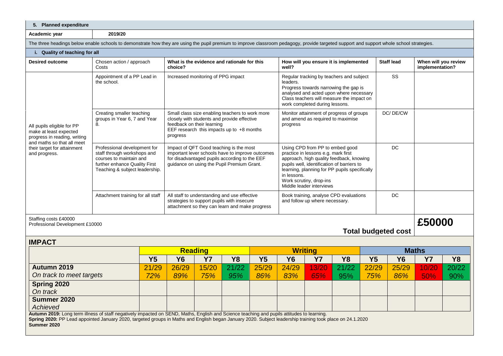| 5. Planned expenditure                                                                                                                                                                   |                                                                                                                                                                                                                                                                                                         |           |                                                                                                                                                                                            |              |              |              |                                                                                                                                                                                                                                                                                         |              |                                       |              |                            |                                         |              |
|------------------------------------------------------------------------------------------------------------------------------------------------------------------------------------------|---------------------------------------------------------------------------------------------------------------------------------------------------------------------------------------------------------------------------------------------------------------------------------------------------------|-----------|--------------------------------------------------------------------------------------------------------------------------------------------------------------------------------------------|--------------|--------------|--------------|-----------------------------------------------------------------------------------------------------------------------------------------------------------------------------------------------------------------------------------------------------------------------------------------|--------------|---------------------------------------|--------------|----------------------------|-----------------------------------------|--------------|
| Academic year                                                                                                                                                                            | 2019/20                                                                                                                                                                                                                                                                                                 |           |                                                                                                                                                                                            |              |              |              |                                                                                                                                                                                                                                                                                         |              |                                       |              |                            |                                         |              |
| The three headings below enable schools to demonstrate how they are using the pupil premium to improve classroom pedagogy, provide targeted support and support whole school strategies. |                                                                                                                                                                                                                                                                                                         |           |                                                                                                                                                                                            |              |              |              |                                                                                                                                                                                                                                                                                         |              |                                       |              |                            |                                         |              |
| i. Quality of teaching for all                                                                                                                                                           |                                                                                                                                                                                                                                                                                                         |           |                                                                                                                                                                                            |              |              |              |                                                                                                                                                                                                                                                                                         |              |                                       |              |                            |                                         |              |
| <b>Desired outcome</b>                                                                                                                                                                   | Chosen action / approach<br>Costs                                                                                                                                                                                                                                                                       |           | What is the evidence and rationale for this<br>choice?                                                                                                                                     |              |              |              | well?                                                                                                                                                                                                                                                                                   |              | How will you ensure it is implemented |              | <b>Staff lead</b>          | When will you review<br>implementation? |              |
| All pupils eligible for PP<br>make at least expected<br>progress in reading, writing<br>and maths so that all meet<br>their target for attainment<br>and progress.                       | Appointment of a PP Lead in<br>the school.                                                                                                                                                                                                                                                              |           | Increased monitoring of PPG impact                                                                                                                                                         |              |              |              | Regular tracking by teachers and subject<br>leaders.<br>Progress towards narrowing the gap is<br>analysed and acted upon where necessary<br>Class teachers will measure the impact on<br>work completed during lessons.                                                                 |              |                                       |              | SS                         |                                         |              |
|                                                                                                                                                                                          | Creating smaller teaching<br>groups in Year 6, 7 and Year<br>8.                                                                                                                                                                                                                                         |           | Small class size enabling teachers to work more<br>closely with students and provide effective<br>feedback on their learning<br>EEF research this impacts up to $+8$ months<br>progress    |              |              |              | Monitor attainment of progress of groups<br>and amend as required to maximise<br>progress                                                                                                                                                                                               |              |                                       |              | DC/DE/CW                   |                                         |              |
|                                                                                                                                                                                          | Professional development for<br>staff through workshops and<br>courses to maintain and<br>further enhance Quality First<br>Teaching & subject leadership.                                                                                                                                               |           | Impact of QFT Good teaching is the most<br>important lever schools have to improve outcomes<br>for disadvantaged pupils according to the EEF<br>guidance on using the Pupil Premium Grant. |              |              |              | Using CPD from PP to embed good<br>practice in lessons e.g. mark first<br>approach, high quality feedback, knowing<br>pupils well, identification of barriers to<br>learning, planning for PP pupils specifically<br>in lessons.<br>Work scrutiny, drop-ins<br>Middle leader interviews |              |                                       |              | DC                         |                                         |              |
|                                                                                                                                                                                          | Attachment training for all staff                                                                                                                                                                                                                                                                       |           | All staff to understanding and use effective<br>strategies to support pupils with insecure<br>attachment so they can learn and make progress                                               |              |              |              | Book training, analyse CPD evaluations<br>and follow up where necessary.                                                                                                                                                                                                                |              |                                       |              | DC                         |                                         |              |
| Staffing costs £40000<br>Professional Development £10000                                                                                                                                 |                                                                                                                                                                                                                                                                                                         |           |                                                                                                                                                                                            |              |              |              |                                                                                                                                                                                                                                                                                         |              |                                       |              | <b>Total budgeted cost</b> | £50000                                  |              |
| <b>IMPACT</b>                                                                                                                                                                            |                                                                                                                                                                                                                                                                                                         |           |                                                                                                                                                                                            |              |              |              |                                                                                                                                                                                                                                                                                         |              |                                       |              |                            |                                         |              |
|                                                                                                                                                                                          |                                                                                                                                                                                                                                                                                                         |           | <b>Reading</b>                                                                                                                                                                             |              |              |              | <b>Writing</b>                                                                                                                                                                                                                                                                          |              |                                       |              |                            | <b>Maths</b>                            |              |
|                                                                                                                                                                                          |                                                                                                                                                                                                                                                                                                         | <b>Y5</b> | <b>Y6</b>                                                                                                                                                                                  | <b>Y7</b>    | <b>Y8</b>    | <b>Y5</b>    | <b>Y6</b>                                                                                                                                                                                                                                                                               | <b>Y7</b>    | <b>Y8</b>                             | <b>Y5</b>    | <b>Y6</b>                  | <b>Y7</b>                               | <b>Y8</b>    |
| Autumn 2019<br>On track to meet targets                                                                                                                                                  |                                                                                                                                                                                                                                                                                                         | 21/29     | 26/29<br>89%                                                                                                                                                                               | 15/20<br>75% | 21/22<br>95% | 25/29<br>86% | 24/29<br>83%                                                                                                                                                                                                                                                                            | 13/20<br>65% | 21/22<br>95%                          | 22/29<br>75% | 25/29<br>86%               | 10/20<br>50%                            | 20/22<br>90% |
| 72%<br>Spring 2020                                                                                                                                                                       |                                                                                                                                                                                                                                                                                                         |           |                                                                                                                                                                                            |              |              |              |                                                                                                                                                                                                                                                                                         |              |                                       |              |                            |                                         |              |
| On track                                                                                                                                                                                 |                                                                                                                                                                                                                                                                                                         |           |                                                                                                                                                                                            |              |              |              |                                                                                                                                                                                                                                                                                         |              |                                       |              |                            |                                         |              |
| Summer 2020<br>Achieved                                                                                                                                                                  |                                                                                                                                                                                                                                                                                                         |           |                                                                                                                                                                                            |              |              |              |                                                                                                                                                                                                                                                                                         |              |                                       |              |                            |                                         |              |
| Summer 2020                                                                                                                                                                              | Autumn 2019: Long term illness of staff negatively impacted on SEND, Maths, English and Science teaching and pupils attitudes to learning.<br>Spring 2020: PP Lead appointed January 2020, targeted groups in Maths and English began January 2020. Subject leadership training took place on 24.1.2020 |           |                                                                                                                                                                                            |              |              |              |                                                                                                                                                                                                                                                                                         |              |                                       |              |                            |                                         |              |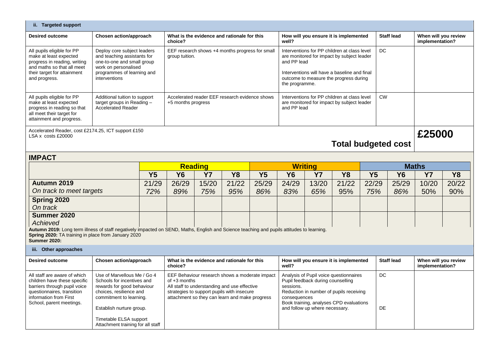| ii. Targeted support                                                                                                                                                                                                     |                                                                                                                                                                                                                                          |                                                                      |                                                                   |                                                                                                                                                                                                                  |                                             |                                                                                                                                                                                                                       |                                                                                                                                                                                                                                  |                                       |              |                 |                   |                                         |              |  |
|--------------------------------------------------------------------------------------------------------------------------------------------------------------------------------------------------------------------------|------------------------------------------------------------------------------------------------------------------------------------------------------------------------------------------------------------------------------------------|----------------------------------------------------------------------|-------------------------------------------------------------------|------------------------------------------------------------------------------------------------------------------------------------------------------------------------------------------------------------------|---------------------------------------------|-----------------------------------------------------------------------------------------------------------------------------------------------------------------------------------------------------------------------|----------------------------------------------------------------------------------------------------------------------------------------------------------------------------------------------------------------------------------|---------------------------------------|--------------|-----------------|-------------------|-----------------------------------------|--------------|--|
| <b>Desired outcome</b>                                                                                                                                                                                                   | Chosen action/approach                                                                                                                                                                                                                   |                                                                      | choice?                                                           |                                                                                                                                                                                                                  | What is the evidence and rationale for this |                                                                                                                                                                                                                       | How will you ensure it is implemented<br>well?                                                                                                                                                                                   |                                       |              |                 | <b>Staff lead</b> | When will you review<br>implementation? |              |  |
| All pupils eligible for PP<br>make at least expected<br>progress in reading, writing<br>and maths so that all meet<br>their target for attainment<br>and progress.                                                       | Deploy core subject leaders<br>and teaching assistants for<br>one-to-one and small group<br>work on personalised<br>programmes of learning and<br>interventions                                                                          |                                                                      | EEF research shows +4 months progress for small<br>group tuition. |                                                                                                                                                                                                                  |                                             | Interventions for PP children at class level<br>are monitored for impact by subject leader<br>and PP lead<br>Interventions will have a baseline and final<br>outcome to measure the progress during<br>the programme. |                                                                                                                                                                                                                                  |                                       |              | <b>DC</b>       |                   |                                         |              |  |
| All pupils eligible for PP<br>make at least expected<br>progress in reading so that<br>all meet their target for<br>attainment and progress.                                                                             | Additional tuition to support<br>target groups in Reading $-$<br><b>Accelerated Reader</b>                                                                                                                                               | Accelerated reader EEF research evidence shows<br>+5 months progress |                                                                   |                                                                                                                                                                                                                  |                                             |                                                                                                                                                                                                                       | Interventions for PP children at class level<br><b>CW</b><br>are monitored for impact by subject leader<br>and PP lead                                                                                                           |                                       |              |                 |                   |                                         |              |  |
| Accelerated Reader, cost £2174.25, ICT support £150<br>£25000<br>LSA x costs £20000<br><b>Total budgeted cost</b>                                                                                                        |                                                                                                                                                                                                                                          |                                                                      |                                                                   |                                                                                                                                                                                                                  |                                             |                                                                                                                                                                                                                       |                                                                                                                                                                                                                                  |                                       |              |                 |                   |                                         |              |  |
| <b>IMPACT</b>                                                                                                                                                                                                            |                                                                                                                                                                                                                                          |                                                                      |                                                                   |                                                                                                                                                                                                                  |                                             |                                                                                                                                                                                                                       |                                                                                                                                                                                                                                  |                                       |              |                 |                   |                                         |              |  |
|                                                                                                                                                                                                                          |                                                                                                                                                                                                                                          |                                                                      |                                                                   |                                                                                                                                                                                                                  | <b>Reading</b>                              |                                                                                                                                                                                                                       |                                                                                                                                                                                                                                  | <b>Writing</b>                        |              |                 |                   | <b>Maths</b>                            |              |  |
| Autumn 2019                                                                                                                                                                                                              |                                                                                                                                                                                                                                          | Y <sub>5</sub>                                                       | <b>Y6</b>                                                         | <b>Y7</b>                                                                                                                                                                                                        | <b>Y8</b>                                   | Y <sub>5</sub>                                                                                                                                                                                                        | <b>Y6</b>                                                                                                                                                                                                                        | <b>Y7</b>                             | <b>Y8</b>    | <b>Y5</b>       | <b>Y6</b>         | <b>Y7</b>                               | <b>Y8</b>    |  |
| On track to meet targets                                                                                                                                                                                                 |                                                                                                                                                                                                                                          | 21/29<br>72%                                                         | 26/29<br>89%                                                      | 15/20<br>75%                                                                                                                                                                                                     | 21/22<br>95%                                | 25/29<br>86%                                                                                                                                                                                                          | 24/29<br>83%                                                                                                                                                                                                                     | 13/20<br>65%                          | 21/22<br>95% | 22/29<br>75%    | 25/29<br>86%      | 10/20<br>50%                            | 20/22<br>90% |  |
| Spring 2020<br>On track                                                                                                                                                                                                  |                                                                                                                                                                                                                                          |                                                                      |                                                                   |                                                                                                                                                                                                                  |                                             |                                                                                                                                                                                                                       |                                                                                                                                                                                                                                  |                                       |              |                 |                   |                                         |              |  |
| Summer 2020<br>Achieved                                                                                                                                                                                                  |                                                                                                                                                                                                                                          |                                                                      |                                                                   |                                                                                                                                                                                                                  |                                             |                                                                                                                                                                                                                       |                                                                                                                                                                                                                                  |                                       |              |                 |                   |                                         |              |  |
| Autumn 2019: Long term illness of staff negatively impacted on SEND, Maths, English and Science teaching and pupils attitudes to learning.<br>Spring 2020: TA training in place from January 2020<br><b>Summer 2020:</b> |                                                                                                                                                                                                                                          |                                                                      |                                                                   |                                                                                                                                                                                                                  |                                             |                                                                                                                                                                                                                       |                                                                                                                                                                                                                                  |                                       |              |                 |                   |                                         |              |  |
| iii. Other approaches                                                                                                                                                                                                    |                                                                                                                                                                                                                                          |                                                                      |                                                                   |                                                                                                                                                                                                                  |                                             |                                                                                                                                                                                                                       |                                                                                                                                                                                                                                  |                                       |              |                 |                   |                                         |              |  |
| <b>Desired outcome</b>                                                                                                                                                                                                   | Chosen action/approach                                                                                                                                                                                                                   |                                                                      | choice?                                                           |                                                                                                                                                                                                                  | What is the evidence and rationale for this |                                                                                                                                                                                                                       | well?                                                                                                                                                                                                                            | How will you ensure it is implemented |              |                 | <b>Staff lead</b> | When will you review<br>implementation? |              |  |
| All staff are aware of which<br>children have these specific<br>barriers through pupil voice<br>questionnaires, transition<br>information from First<br>School, parent meetings.                                         | Use of Marvellous Me / Go 4<br>Schools for incentives and<br>rewards for good behaviour<br>choices, resilience and<br>commitment to learning.<br>Establish nurture group.<br>Timetable ELSA support<br>Attachment training for all staff |                                                                      |                                                                   | EEF Behaviour research shows a moderate impact<br>of $+3$ months<br>All staff to understanding and use effective<br>strategies to support pupils with insecure<br>attachment so they can learn and make progress |                                             |                                                                                                                                                                                                                       | Analysis of Pupil voice questionnaires<br>Pupil feedback during counselling<br>sessions.<br>Reduction in number of pupils receiving<br>consequences<br>Book training, analyses CPD evaluations<br>and follow up where necessary. |                                       |              | <b>DC</b><br>DE |                   |                                         |              |  |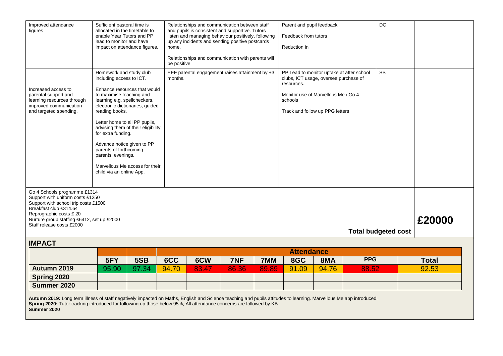| Improved attendance<br>figures                                                                                                                                                                                                                                                   | Sufficient pastoral time is<br>allocated in the timetable to<br>enable Year Tutors and PP<br>lead to monitor and have                                                                                                                                                                                    | impact on attendance figures.                                                                                                           | home.                  | Relationships and communication between staff<br>and pupils is consistent and supportive. Tutors<br>listen and managing behaviour positively, following<br>up any incidents and sending positive postcards<br>Reduction in<br>Relationships and communication with parents will |              |       |                       | Parent and pupil feedback<br>Feedback from tutors                                                                                                            |            | <b>DC</b> |                       |  |
|----------------------------------------------------------------------------------------------------------------------------------------------------------------------------------------------------------------------------------------------------------------------------------|----------------------------------------------------------------------------------------------------------------------------------------------------------------------------------------------------------------------------------------------------------------------------------------------------------|-----------------------------------------------------------------------------------------------------------------------------------------|------------------------|---------------------------------------------------------------------------------------------------------------------------------------------------------------------------------------------------------------------------------------------------------------------------------|--------------|-------|-----------------------|--------------------------------------------------------------------------------------------------------------------------------------------------------------|------------|-----------|-----------------------|--|
| Increased access to<br>parental support and<br>learning resources through<br>improved communication<br>and targeted spending.                                                                                                                                                    | Homework and study club<br>including access to ICT.<br>to maximise teaching and<br>learning e.g. spellcheckers,<br>reading books.<br>Letter home to all PP pupils,<br>for extra funding.<br>Advance notice given to PP<br>parents of forthcoming<br>parents' evenings.<br>child via an online App.       | Enhance resources that would<br>electronic dictionaries, guided<br>advising them of their eligibility<br>Marvellous Me access for their | be positive<br>months. | EEF parental engagement raises attainment by +3                                                                                                                                                                                                                                 |              |       | resources.<br>schools | PP Lead to monitor uptake at after school<br>clubs, ICT usage, oversee purchase of<br>Monitor use of Marvellous Me / Go 4<br>Track and follow up PPG letters |            | SS        |                       |  |
| Go 4 Schools programme £1314<br>Support with uniform costs £1250<br>Support with school trip costs £1500<br>Breakfast club £314.64<br>Reprographic costs £ 20<br>£20000<br>Nurture group staffing £6412, set up £2000<br>Staff release costs £2000<br><b>Total budgeted cost</b> |                                                                                                                                                                                                                                                                                                          |                                                                                                                                         |                        |                                                                                                                                                                                                                                                                                 |              |       |                       |                                                                                                                                                              |            |           |                       |  |
| <b>IMPACT</b>                                                                                                                                                                                                                                                                    |                                                                                                                                                                                                                                                                                                          |                                                                                                                                         |                        |                                                                                                                                                                                                                                                                                 |              |       |                       |                                                                                                                                                              |            |           |                       |  |
|                                                                                                                                                                                                                                                                                  |                                                                                                                                                                                                                                                                                                          |                                                                                                                                         |                        |                                                                                                                                                                                                                                                                                 |              |       | <b>Attendance</b>     |                                                                                                                                                              | <b>PPG</b> |           |                       |  |
| Autumn 2019                                                                                                                                                                                                                                                                      | 5FY<br>95.90                                                                                                                                                                                                                                                                                             | 5SB<br>97.34                                                                                                                            | 6CC<br>94.70           | 6CW                                                                                                                                                                                                                                                                             | 7NF<br>86.36 | 7MM   | 8GC<br>91.09          | 8MA<br>94.76                                                                                                                                                 | 88.52      |           | <b>Total</b><br>92.53 |  |
| Spring 2020                                                                                                                                                                                                                                                                      |                                                                                                                                                                                                                                                                                                          |                                                                                                                                         |                        | 83.47                                                                                                                                                                                                                                                                           |              | 89.89 |                       |                                                                                                                                                              |            |           |                       |  |
|                                                                                                                                                                                                                                                                                  |                                                                                                                                                                                                                                                                                                          |                                                                                                                                         |                        |                                                                                                                                                                                                                                                                                 |              |       |                       |                                                                                                                                                              |            |           |                       |  |
| Summer 2020                                                                                                                                                                                                                                                                      | Summer 2020<br>Autumn 2019: Long term illness of staff negatively impacted on Maths, English and Science teaching and pupils attitudes to learning. Marvellous Me app introduced.<br>Spring 2020: Tutor tracking introduced for following up those below 95%, All attendance concerns are followed by KB |                                                                                                                                         |                        |                                                                                                                                                                                                                                                                                 |              |       |                       |                                                                                                                                                              |            |           |                       |  |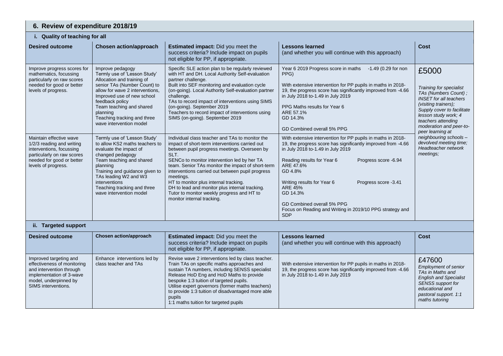| 6. Review of expenditure 2018/19                                                                                                                                     |                                                                                                                                                                                                                                                                                                      |                                                                                                                                                                                                                                                                                                                                                                                                                                                                                                       |                                                                                                                                                                                                                                                                                                                                                                                                                                            |                                                                                                                                                                                                                                              |  |  |  |  |  |
|----------------------------------------------------------------------------------------------------------------------------------------------------------------------|------------------------------------------------------------------------------------------------------------------------------------------------------------------------------------------------------------------------------------------------------------------------------------------------------|-------------------------------------------------------------------------------------------------------------------------------------------------------------------------------------------------------------------------------------------------------------------------------------------------------------------------------------------------------------------------------------------------------------------------------------------------------------------------------------------------------|--------------------------------------------------------------------------------------------------------------------------------------------------------------------------------------------------------------------------------------------------------------------------------------------------------------------------------------------------------------------------------------------------------------------------------------------|----------------------------------------------------------------------------------------------------------------------------------------------------------------------------------------------------------------------------------------------|--|--|--|--|--|
| i. Quality of teaching for all                                                                                                                                       |                                                                                                                                                                                                                                                                                                      |                                                                                                                                                                                                                                                                                                                                                                                                                                                                                                       |                                                                                                                                                                                                                                                                                                                                                                                                                                            |                                                                                                                                                                                                                                              |  |  |  |  |  |
| <b>Desired outcome</b>                                                                                                                                               | <b>Chosen action/approach</b>                                                                                                                                                                                                                                                                        | <b>Estimated impact:</b> Did you meet the<br>success criteria? Include impact on pupils<br>not eligible for PP, if appropriate.                                                                                                                                                                                                                                                                                                                                                                       | <b>Lessons learned</b><br>(and whether you will continue with this approach)                                                                                                                                                                                                                                                                                                                                                               | <b>Cost</b>                                                                                                                                                                                                                                  |  |  |  |  |  |
| Improve progress scores for<br>mathematics, focussing<br>particularly on raw scores<br>needed for good or better<br>levels of progress.                              | Improve pedagogy<br>Termly use of 'Lesson Study'<br>Allocation and training of<br>senior TAs (Number Count) to<br>allow for wave 2 interventions,<br>Improved use of new school<br>feedback policy<br>Team teaching and shared<br>planning<br>Teaching tracking and three<br>wave intervention model | Specific SLE action plan to be regularly reviewed<br>with HT and DH. Local Authority Self-evaluation<br>partner challenge.<br>Built into SEF monitoring and evaluation cycle<br>(on-going). Local Authority Self-evaluation partner<br>challenge.<br>TAs to record impact of interventions using SIMS<br>(on-going). September 2019<br>Teachers to record impact of interventions using<br>SIMS (on-going). September 2019                                                                            | Year 6 2019 Progress score in maths<br>-1.49 (0.29 for non<br>PPG)<br>With extensive intervention for PP pupils in maths in 2018-<br>19, the progress score has significantly improved from -4.66<br>in July 2018 to-1.49 in July 2019<br>PPG Maths results for Year 6<br>ARE 57.1%<br>GD 14.3%<br>GD Combined overall 5% PPG                                                                                                              | £5000<br>Training for specialist<br>TAs (Numbers Count);<br><b>INSET</b> for all teachers<br>(visiting trainers);<br>Supply cover to facilitate<br>lesson study work; 4<br>teachers attending<br>moderation and peer-to-<br>peer learning at |  |  |  |  |  |
| Maintain effective wave<br>1/2/3 reading and writing<br>interventions, focussing<br>particularly on raw scores<br>needed for good or better<br>levels of progress.   | Termly use of 'Lesson Study'<br>to allow KS2 maths teachers to<br>evaluate the impact of<br>changed pedagogy<br>Team teaching and shared<br>planning<br>Training and guidance given to<br>TAs leading W2 and W3<br>interventions<br>Teaching tracking and three<br>wave intervention model           | Individual class teacher and TAs to monitor the<br>impact of short-term interventions carried out<br>between pupil progress meetings. Overseen by<br>SLT.<br>SENCo to monitor intervention led by her TA<br>team. Senior TAs monitor the impact of short-term<br>interventions carried out between pupil progress<br>meetings.<br>HT to monitor plus internal tracking.<br>DH to lead and monitor plus internal tracking.<br>Tutor to monitor weekly progress and HT to<br>monitor internal tracking. | With extensive intervention for PP pupils in maths in 2018-<br>19, the progress score has significantly improved from -4.66<br>in July 2018 to-1.49 in July 2019<br>Reading results for Year 6<br>Progress score -6.94<br>ARE 47.6%<br>GD 4.8%<br>Writing results for Year 6<br>Progress score -3.41<br><b>ARE 45%</b><br>GD 14.3%<br>GD Combined overall 5% PPG<br>Focus on Reading and Writing in 2019/10 PPG strategy and<br><b>SDP</b> | neighbouring schools -<br>devolved meeting time;<br>Headteacher network<br>meetings;                                                                                                                                                         |  |  |  |  |  |
| ii. Targeted support                                                                                                                                                 |                                                                                                                                                                                                                                                                                                      |                                                                                                                                                                                                                                                                                                                                                                                                                                                                                                       |                                                                                                                                                                                                                                                                                                                                                                                                                                            |                                                                                                                                                                                                                                              |  |  |  |  |  |
| <b>Desired outcome</b>                                                                                                                                               | <b>Chosen action/approach</b>                                                                                                                                                                                                                                                                        | Estimated impact: Did you meet the<br>success criteria? Include impact on pupils<br>not eligible for PP, if appropriate.                                                                                                                                                                                                                                                                                                                                                                              | <b>Lessons learned</b><br>(and whether you will continue with this approach)                                                                                                                                                                                                                                                                                                                                                               | Cost                                                                                                                                                                                                                                         |  |  |  |  |  |
| Improved targeting and<br>effectiveness of monitoring<br>and intervention through<br>implementation of 3-wave<br>model, underpinned by<br><b>SIMS</b> interventions. | Enhance interventions led by<br>class teacher and TAs                                                                                                                                                                                                                                                | Revise wave 2 interventions led by class teacher.<br>Train TAs on specific maths approaches and<br>sustain TA numbers, including SENSS specialist<br>Release HoD Eng and HoD Maths to provide<br>bespoke 1:3 tuition of targeted pupils.<br>Utilise expert governors (former maths teachers)<br>to provide 1:3 tuition of disadvantaged more able<br>pupils<br>1:1 maths tuition for targeted pupils                                                                                                  | With extensive intervention for PP pupils in maths in 2018-<br>19, the progress score has significantly improved from -4.66<br>in July 2018 to-1.49 in July 2019                                                                                                                                                                                                                                                                           | £47600<br><b>Employment of senior</b><br>TAs in Maths and<br><b>English and Specialist</b><br><b>SENSS</b> support for<br>educational and<br>pastoral support. 1:1<br>maths tutoring                                                         |  |  |  |  |  |